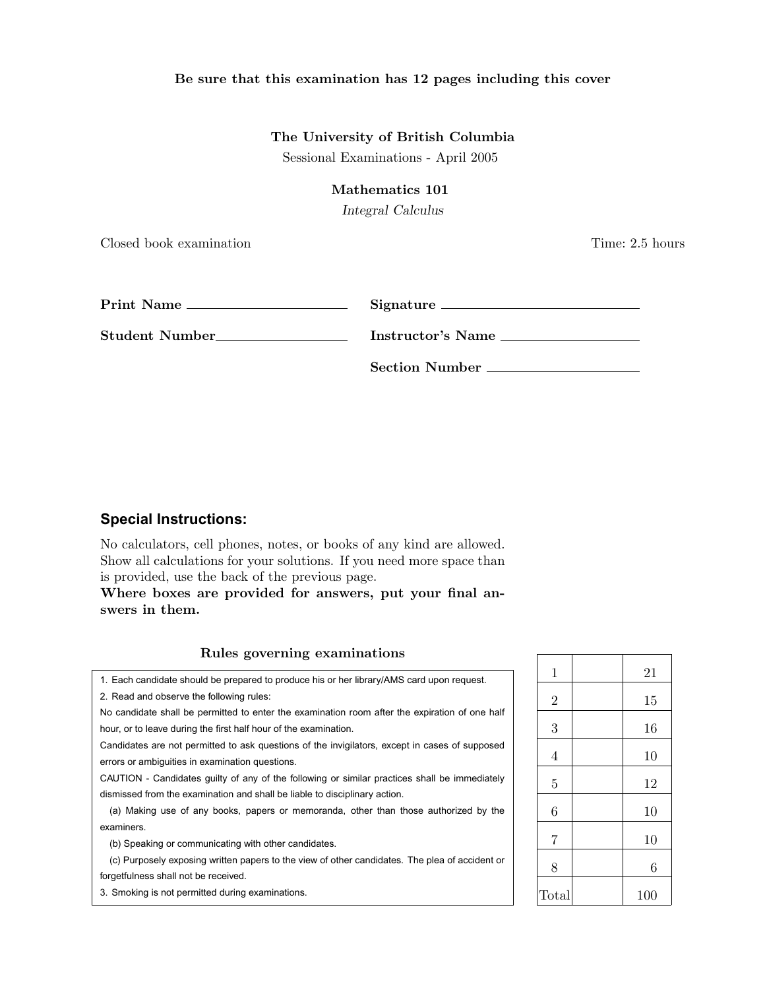## Be sure that this examination has 12 pages including this cover

## The University of British Columbia

Sessional Examinations - April 2005

### Mathematics 101

*Integral Calculus*

Closed book examination Time: 2.5 hours

| Print Name                  | Signature             |
|-----------------------------|-----------------------|
| Student Number <sub>—</sub> | Instructor's Name     |
|                             | <b>Section Number</b> |

## **Special Instructions:**

No calculators, cell phones, notes, or books of any kind are allowed. Show all calculations for your solutions. If you need more space than is provided, use the back of the previous page.

Where boxes are provided for answers, put your final answers in them.

| Rules governing examinations                                                                                                                                                |       |     |  |
|-----------------------------------------------------------------------------------------------------------------------------------------------------------------------------|-------|-----|--|
| 1. Each candidate should be prepared to produce his or her library/AMS card upon request.                                                                                   |       | 21  |  |
| 2. Read and observe the following rules:                                                                                                                                    | 2     | 15  |  |
| No candidate shall be permitted to enter the examination room after the expiration of one half<br>hour, or to leave during the first half hour of the examination.          | 3     | 16  |  |
| Candidates are not permitted to ask questions of the invigilators, except in cases of supposed<br>errors or ambiguities in examination questions.                           | 4     | 10  |  |
| CAUTION - Candidates guilty of any of the following or similar practices shall be immediately<br>dismissed from the examination and shall be liable to disciplinary action. | 5     | 12  |  |
| (a) Making use of any books, papers or memoranda, other than those authorized by the                                                                                        | 6     | 10  |  |
| examiners.                                                                                                                                                                  | 7     |     |  |
| (b) Speaking or communicating with other candidates.                                                                                                                        |       | 10  |  |
| (c) Purposely exposing written papers to the view of other candidates. The plea of accident or                                                                              | 8     | 6   |  |
| forgetfulness shall not be received.                                                                                                                                        |       |     |  |
| 3. Smoking is not permitted during examinations.                                                                                                                            | Total | 100 |  |

### Rules go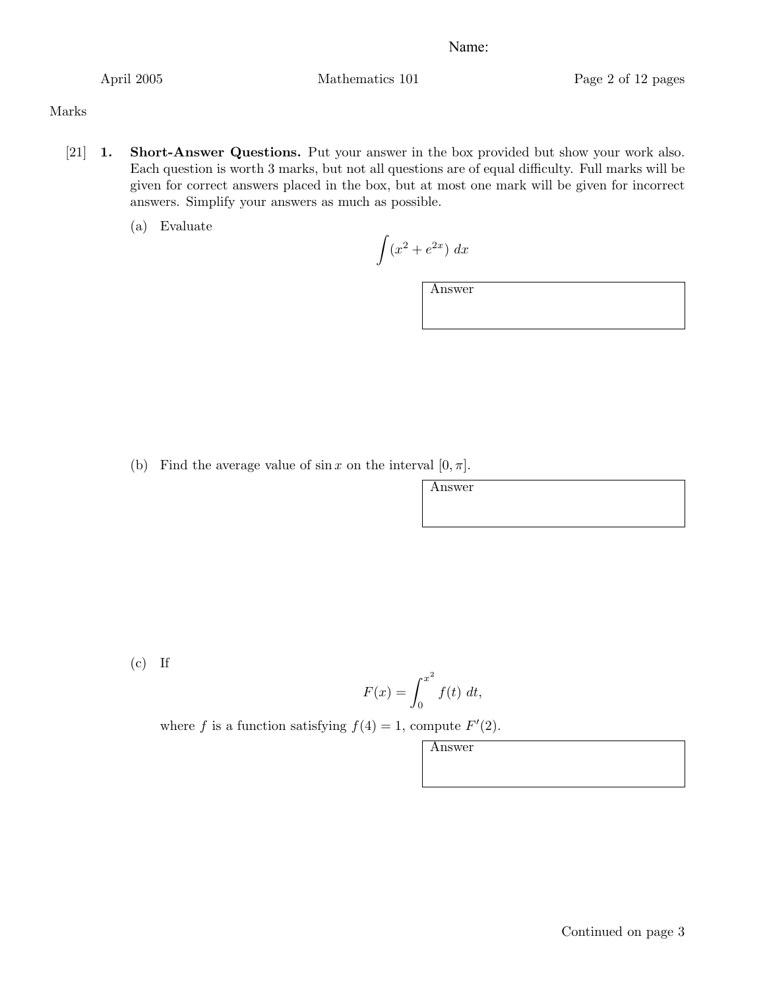April 2005 Mathematics 101 Page 2 of 12 pages

## Marks

- [21] 1. Short-Answer Questions. Put your answer in the box provided but show your work also. Each question is worth 3 marks, but not all questions are of equal difficulty. Full marks will be given for correct answers placed in the box, but at most one mark will be given for incorrect answers. Simplify your answers as much as possible.
	- (a) Evaluate

 $\int (x^2 + e^{2x}) dx$ 

Answer

Answer

(b) Find the average value of  $\sin x$  on the interval  $[0, \pi]$ .

 $(c)$  If

$$
F(x) = \int_0^{x^2} f(t) \, dt,
$$

where *f* is a function satisfying  $f(4) = 1$ , compute  $F'(2)$ .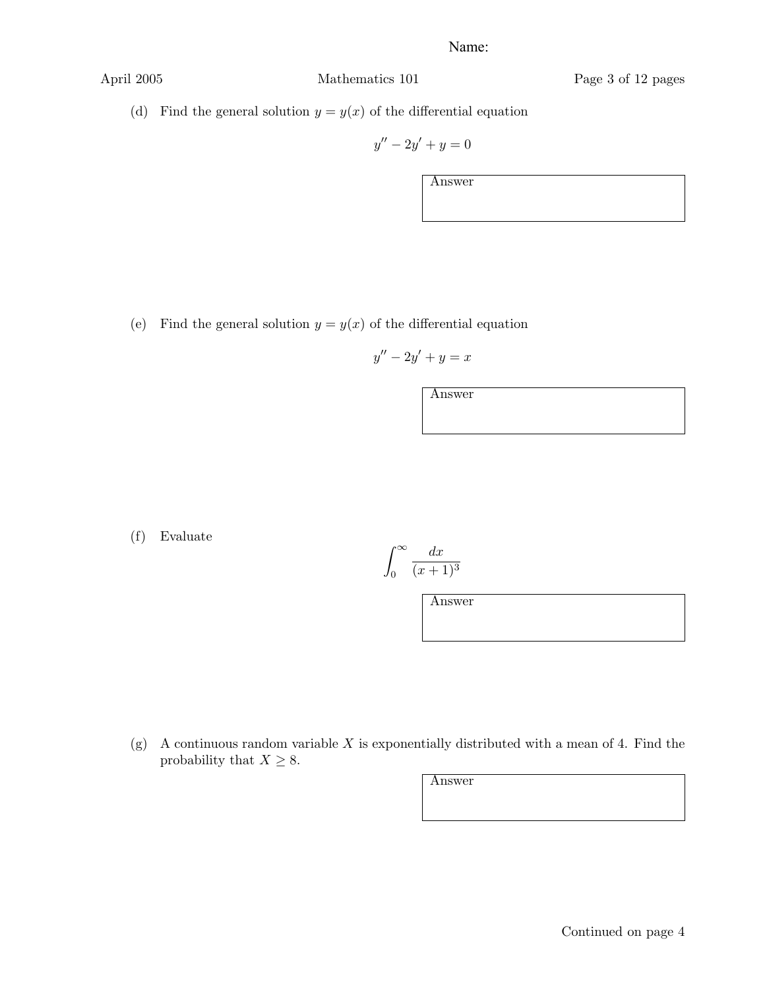(d) Find the general solution  $y = y(x)$  of the differential equation

$$
y'' - 2y' + y = 0
$$

Answer

(e) Find the general solution  $y = y(x)$  of the differential equation

$$
y''-2y'+y=x
$$

Answer

(f) Evaluate

$$
\int_0^\infty \frac{dx}{(x+1)^3}
$$

Answer

(g) A continuous random variable *X* is exponentially distributed with a mean of 4. Find the probability that  $X \geq 8$ .

Continued on page 4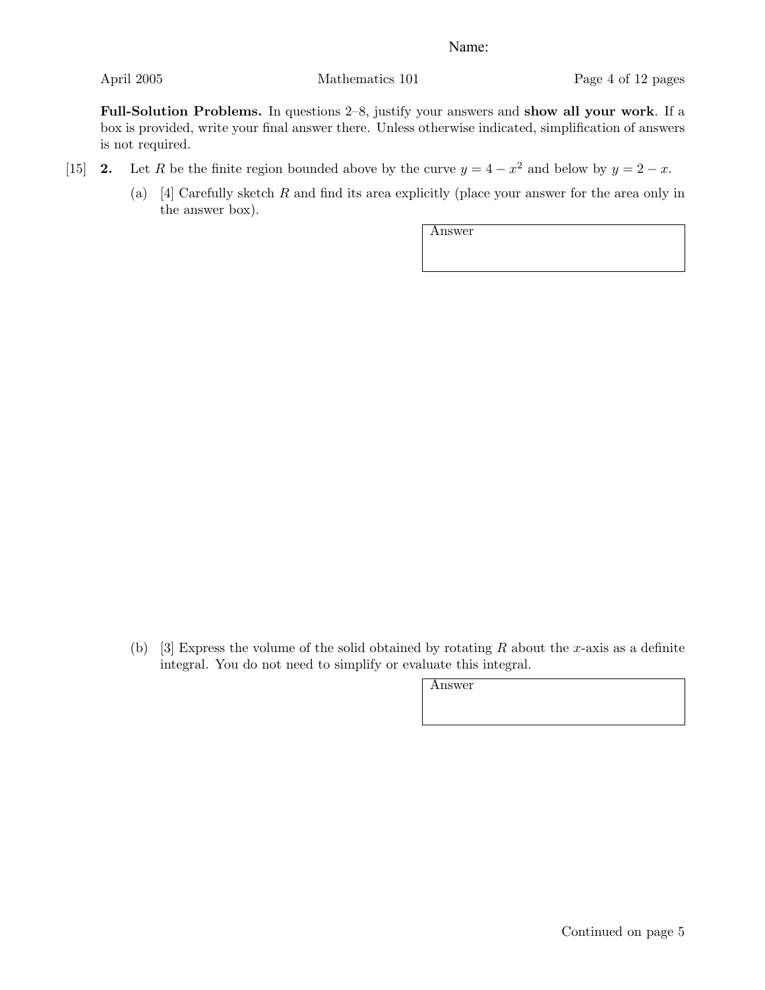Full-Solution Problems. In questions 2–8, justify your answers and show all your work. If a box is provided, write your final answer there. Unless otherwise indicated, simplification of answers is not required.

- [15] 2. Let *R* be the finite region bounded above by the curve  $y = 4 x^2$  and below by  $y = 2 x$ .
	- (a) [4] Carefully sketch *R* and find its area explicitly (place your answer for the area only in the answer box).

Answer

(b) [3] Express the volume of the solid obtained by rotating *R* about the *x*-axis as a definite integral. You do not need to simplify or evaluate this integral.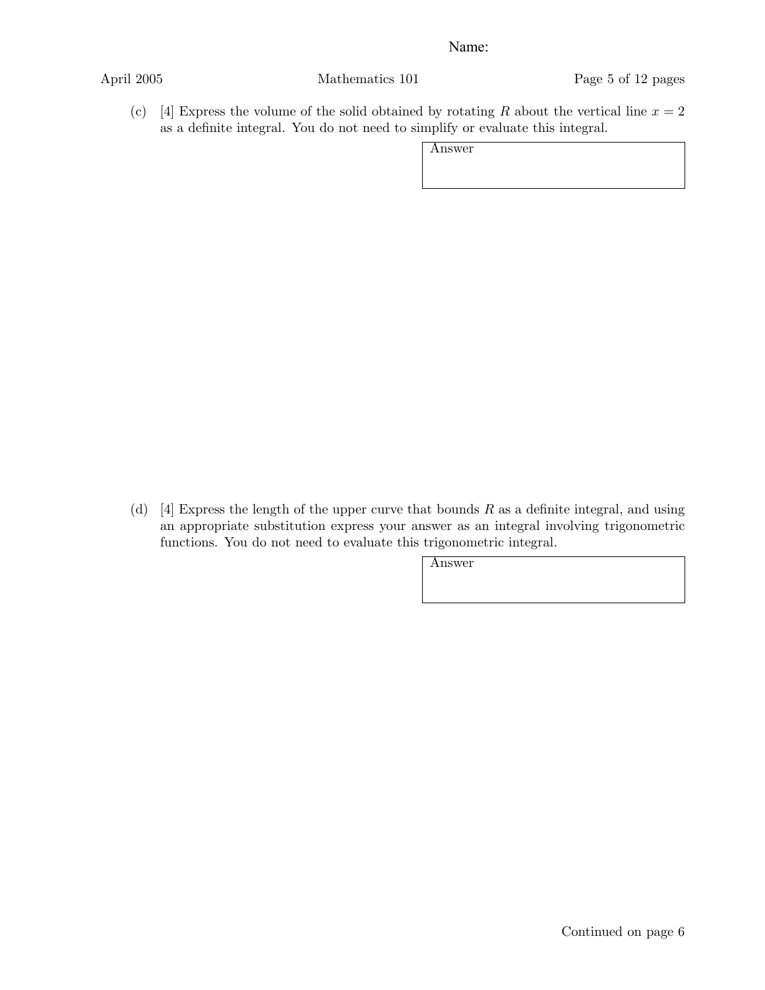April 2005 Mathematics 101 Page 5 of 12 pages

(c) [4] Express the volume of the solid obtained by rotating *R* about the vertical line  $x = 2$ as a definite integral. You do not need to simplify or evaluate this integral.

Answer

(d) [4] Express the length of the upper curve that bounds *R* as a definite integral, and using an appropriate substitution express your answer as an integral involving trigonometric functions. You do not need to evaluate this trigonometric integral.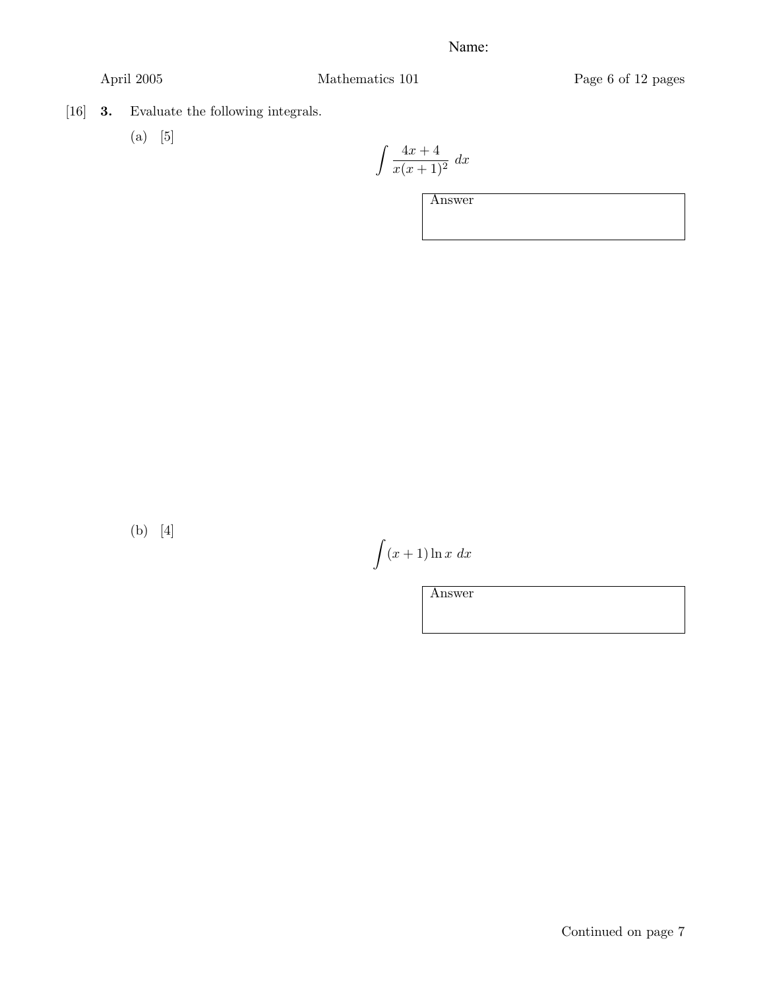April 2005 Mathematics 101 Page 6 of 12 pages

- [16] 3. Evaluate the following integrals.
	- (a) [5]

$$
\int \frac{4x+4}{x(x+1)^2} \ dx
$$

Answer

(b) [4]

 $(x+1)\ln x dx$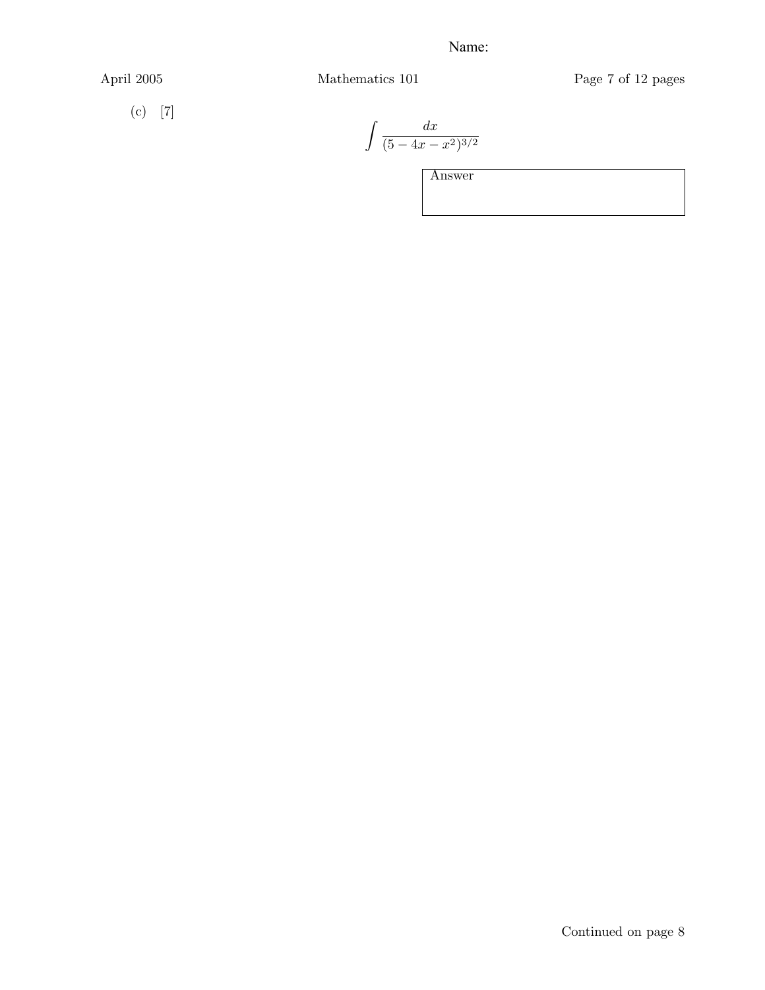$(c)$  [7]

April 2005 Mathematics 101 Page 7 of 12 pages

$$
\int \frac{dx}{(5 - 4x - x^2)^{3/2}}
$$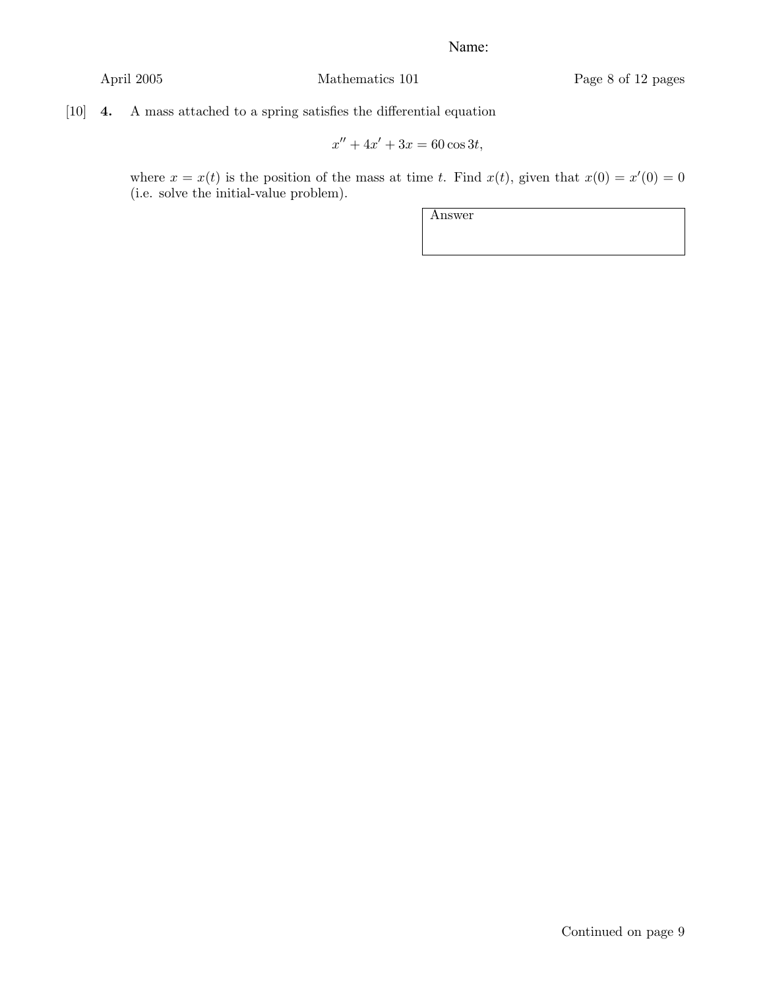# [10] 4. A mass attached to a spring satisfies the differential equation

$$
x'' + 4x' + 3x = 60 \cos 3t,
$$

where  $x = x(t)$  is the position of the mass at time *t*. Find  $x(t)$ , given that  $x(0) = x'(0) = 0$ (i.e. solve the initial-value problem).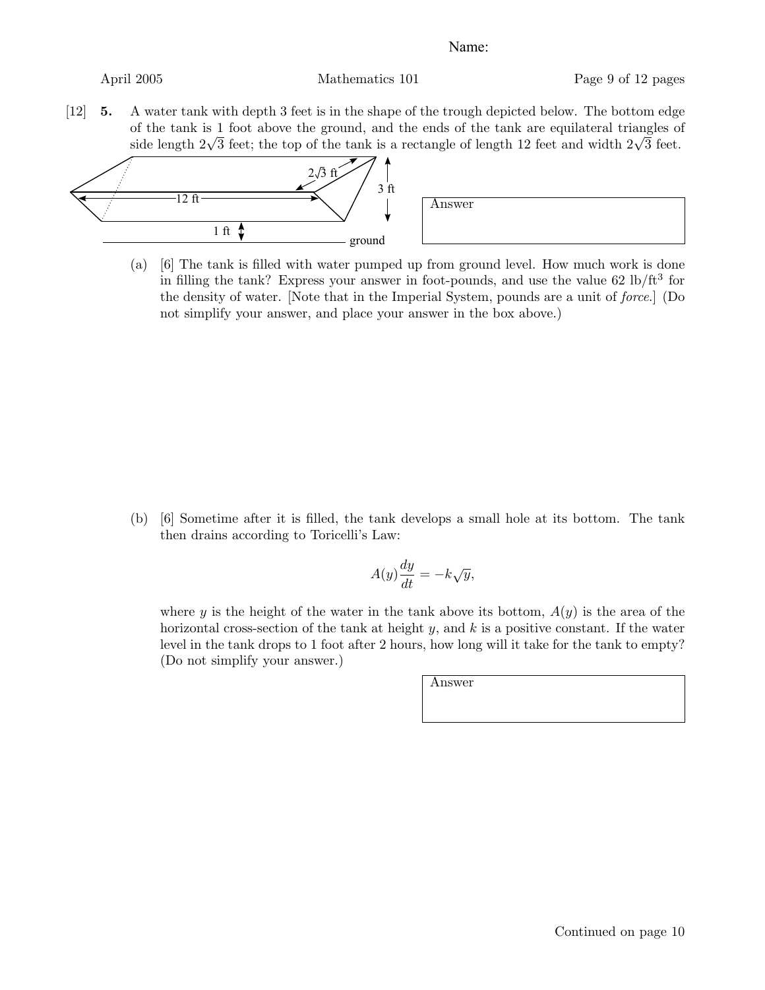[12] 5. A water tank with depth 3 feet is in the shape of the trough depicted below. The bottom edge of the tank is 1 foot above the ground, and the ends of the tank are equilateral triangles of side length  $2\sqrt{3}$  feet; the top of the tank is a rectangle of length 12 feet and width  $2\sqrt{3}$  feet.



(a) [6] The tank is filled with water pumped up from ground level. How much work is done in filling the tank? Express your answer in foot-pounds, and use the value  $62 \text{ lb/ft}^3$  for the density of water. [Note that in the Imperial System, pounds are a unit of *force*.] (Do not simplify your answer, and place your answer in the box above.)

(b) [6] Sometime after it is filled, the tank develops a small hole at its bottom. The tank then drains according to Toricelli's Law:

$$
A(y)\frac{dy}{dt} = -k\sqrt{y},
$$

where *y* is the height of the water in the tank above its bottom,  $A(y)$  is the area of the horizontal cross-section of the tank at height *y*, and *k* is a positive constant. If the water level in the tank drops to 1 foot after 2 hours, how long will it take for the tank to empty? (Do not simplify your answer.)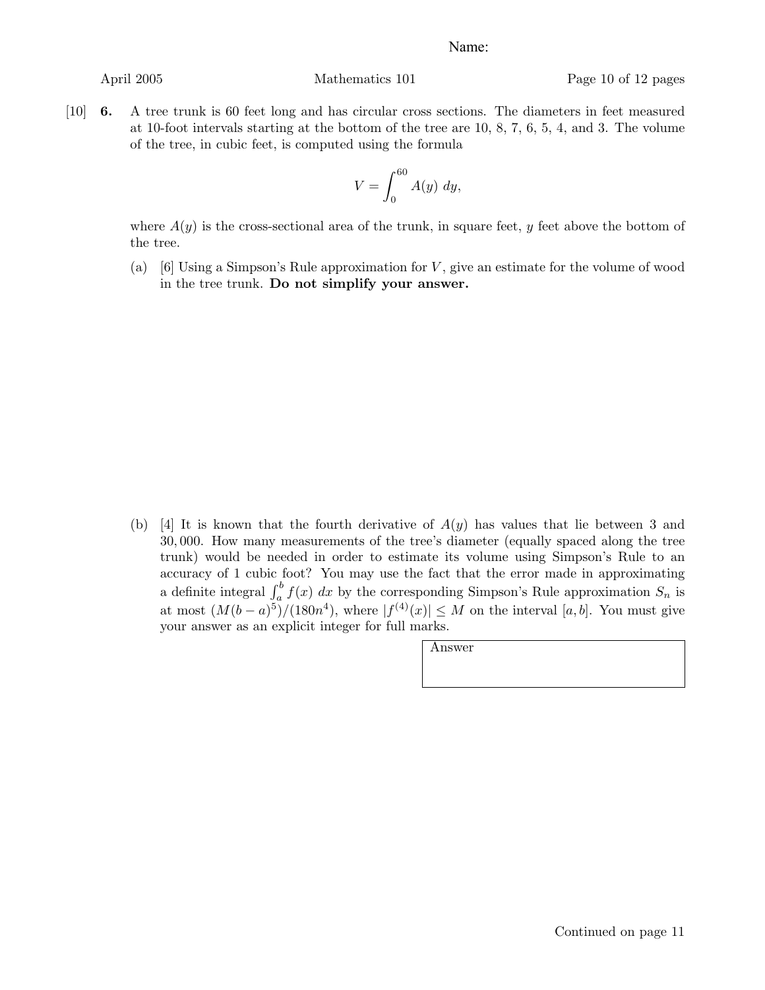[10] 6. A tree trunk is 60 feet long and has circular cross sections. The diameters in feet measured at 10-foot intervals starting at the bottom of the tree are 10, 8, 7, 6, 5, 4, and 3. The volume of the tree, in cubic feet, is computed using the formula

$$
V = \int_0^{60} A(y) \ dy,
$$

where  $A(y)$  is the cross-sectional area of the trunk, in square feet, *y* feet above the bottom of the tree.

(a) [6] Using a Simpson's Rule approximation for *V* , give an estimate for the volume of wood in the tree trunk. Do not simplify your answer.

(b) [4] It is known that the fourth derivative of *A*(*y*) has values that lie between 3 and 30*,* 000. How many measurements of the tree's diameter (equally spaced along the tree trunk) would be needed in order to estimate its volume using Simpson's Rule to an accuracy of 1 cubic foot? You may use the fact that the error made in approximating a definite integral  $\int_a^b f(x) dx$  by the corresponding Simpson's Rule approximation  $S_n$  is at most  $(M(b-a)^5)/(180n^4)$ , where  $|f^{(4)}(x)| \leq M$  on the interval [a, b]. You must give your answer as an explicit integer for full marks.

| Answer |  |  |  |
|--------|--|--|--|
|        |  |  |  |
|        |  |  |  |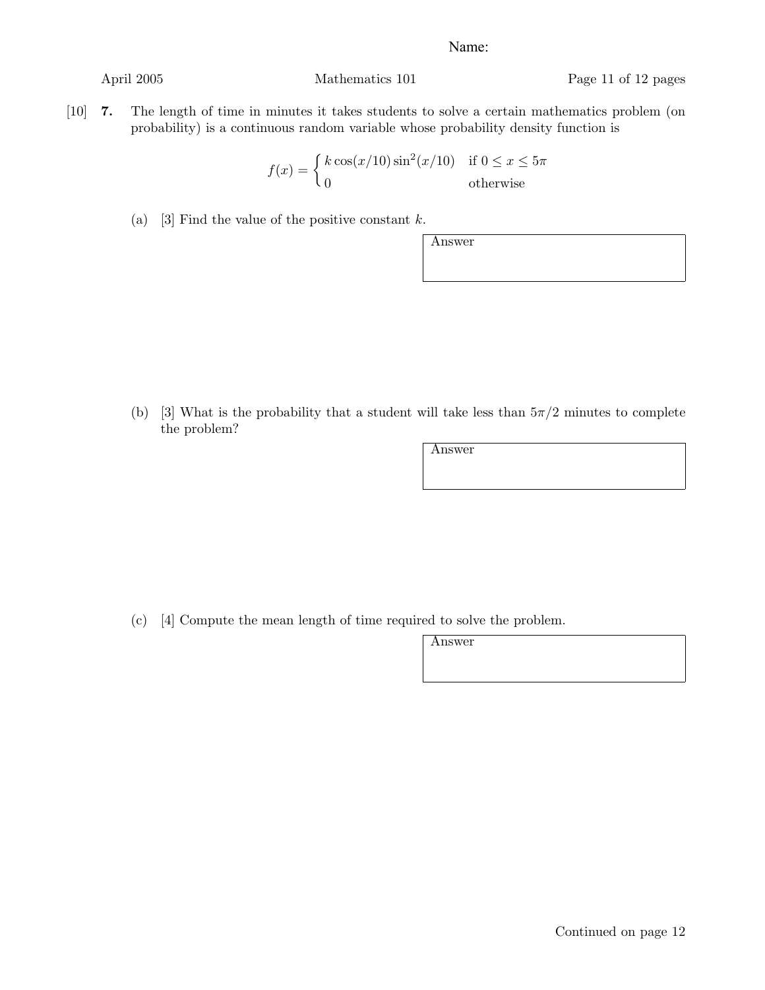April 2005 Mathematics 101 Page 11 of 12 pages

[10] 7. The length of time in minutes it takes students to solve a certain mathematics problem (on probability) is a continuous random variable whose probability density function is

$$
f(x) = \begin{cases} k \cos(x/10) \sin^2(x/10) & \text{if } 0 \le x \le 5\pi \\ 0 & \text{otherwise} \end{cases}
$$

(a) [3] Find the value of the positive constant *k*.

(b) [3] What is the probability that a student will take less than  $5\pi/2$  minutes to complete the problem?

Answer

Answer

(c) [4] Compute the mean length of time required to solve the problem.